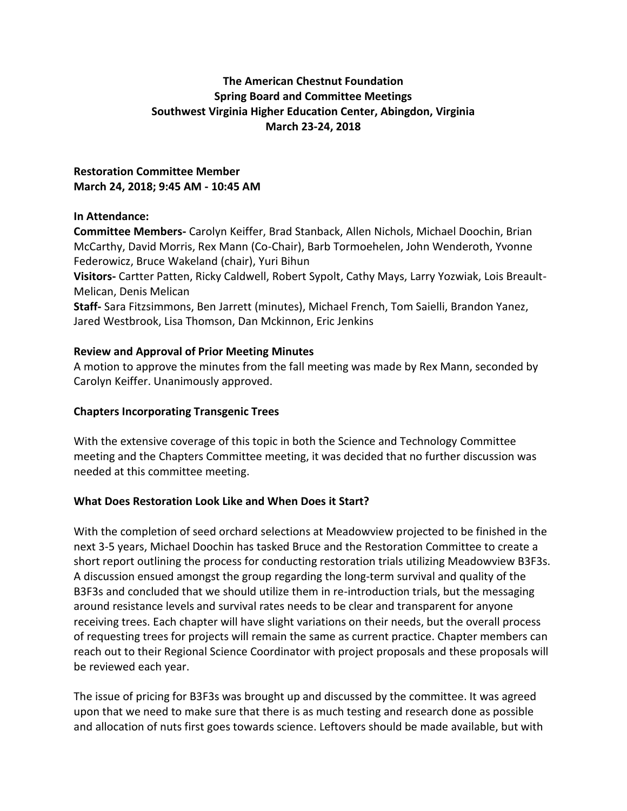# **The American Chestnut Foundation Spring Board and Committee Meetings Southwest Virginia Higher Education Center, Abingdon, Virginia March 23-24, 2018**

### **Restoration Committee Member March 24, 2018; 9:45 AM - 10:45 AM**

# **In Attendance:**

**Committee Members-** Carolyn Keiffer, Brad Stanback, Allen Nichols, Michael Doochin, Brian McCarthy, David Morris, Rex Mann (Co-Chair), Barb Tormoehelen, John Wenderoth, Yvonne Federowicz, Bruce Wakeland (chair), Yuri Bihun

**Visitors-** Cartter Patten, Ricky Caldwell, Robert Sypolt, Cathy Mays, Larry Yozwiak, Lois Breault-Melican, Denis Melican

**Staff-** Sara Fitzsimmons, Ben Jarrett (minutes), Michael French, Tom Saielli, Brandon Yanez, Jared Westbrook, Lisa Thomson, Dan Mckinnon, Eric Jenkins

#### **Review and Approval of Prior Meeting Minutes**

A motion to approve the minutes from the fall meeting was made by Rex Mann, seconded by Carolyn Keiffer. Unanimously approved.

### **Chapters Incorporating Transgenic Trees**

With the extensive coverage of this topic in both the Science and Technology Committee meeting and the Chapters Committee meeting, it was decided that no further discussion was needed at this committee meeting.

# **What Does Restoration Look Like and When Does it Start?**

With the completion of seed orchard selections at Meadowview projected to be finished in the next 3-5 years, Michael Doochin has tasked Bruce and the Restoration Committee to create a short report outlining the process for conducting restoration trials utilizing Meadowview B3F3s. A discussion ensued amongst the group regarding the long-term survival and quality of the B3F3s and concluded that we should utilize them in re-introduction trials, but the messaging around resistance levels and survival rates needs to be clear and transparent for anyone receiving trees. Each chapter will have slight variations on their needs, but the overall process of requesting trees for projects will remain the same as current practice. Chapter members can reach out to their Regional Science Coordinator with project proposals and these proposals will be reviewed each year.

The issue of pricing for B3F3s was brought up and discussed by the committee. It was agreed upon that we need to make sure that there is as much testing and research done as possible and allocation of nuts first goes towards science. Leftovers should be made available, but with